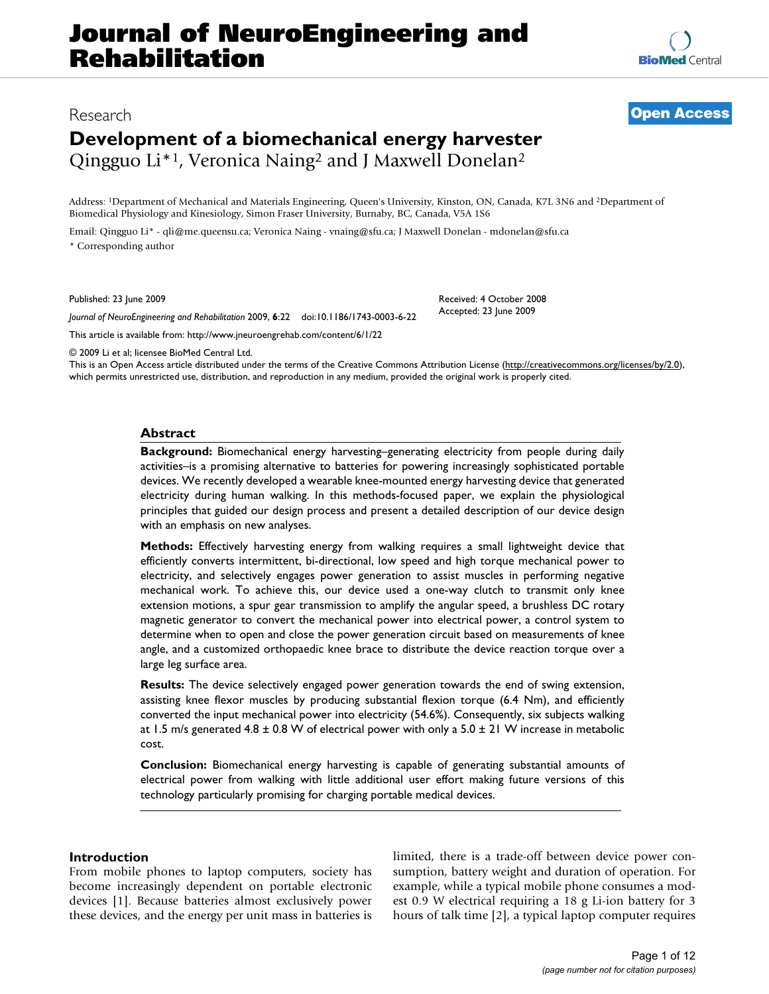# **Journal of NeuroEngineering and Rehabilitation**

## **Development of a biomechanical energy harvester** Qingguo Li\*1, Veronica Naing2 and J Maxwell Donelan2

Address: 1Department of Mechanical and Materials Engineering, Queen's University, Kinston, ON, Canada, K7L 3N6 and 2Department of Biomedical Physiology and Kinesiology, Simon Fraser University, Burnaby, BC, Canada, V5A 1S6

Email: Qingguo Li\* - qli@me.queensu.ca; Veronica Naing - vnaing@sfu.ca; J Maxwell Donelan - mdonelan@sfu.ca \* Corresponding author

Published: 23 June 2009

*Journal of NeuroEngineering and Rehabilitation* 2009, **6**:22 doi:10.1186/1743-0003-6-22

[This article is available from: http://www.jneuroengrehab.com/content/6/1/22](http://www.jneuroengrehab.com/content/6/1/22)

© 2009 Li et al; licensee BioMed Central Ltd.

This is an Open Access article distributed under the terms of the Creative Commons Attribution License [\(http://creativecommons.org/licenses/by/2.0\)](http://creativecommons.org/licenses/by/2.0), which permits unrestricted use, distribution, and reproduction in any medium, provided the original work is properly cited.

#### **Abstract**

**Background:** Biomechanical energy harvesting–generating electricity from people during daily activities–is a promising alternative to batteries for powering increasingly sophisticated portable devices. We recently developed a wearable knee-mounted energy harvesting device that generated electricity during human walking. In this methods-focused paper, we explain the physiological principles that guided our design process and present a detailed description of our device design with an emphasis on new analyses.

**Methods:** Effectively harvesting energy from walking requires a small lightweight device that efficiently converts intermittent, bi-directional, low speed and high torque mechanical power to electricity, and selectively engages power generation to assist muscles in performing negative mechanical work. To achieve this, our device used a one-way clutch to transmit only knee extension motions, a spur gear transmission to amplify the angular speed, a brushless DC rotary magnetic generator to convert the mechanical power into electrical power, a control system to determine when to open and close the power generation circuit based on measurements of knee angle, and a customized orthopaedic knee brace to distribute the device reaction torque over a large leg surface area.

**Results:** The device selectively engaged power generation towards the end of swing extension, assisting knee flexor muscles by producing substantial flexion torque (6.4 Nm), and efficiently converted the input mechanical power into electricity (54.6%). Consequently, six subjects walking at 1.5 m/s generated 4.8 ± 0.8 W of electrical power with only a 5.0 ± 21 W increase in metabolic cost.

**Conclusion:** Biomechanical energy harvesting is capable of generating substantial amounts of electrical power from walking with little additional user effort making future versions of this technology particularly promising for charging portable medical devices.

#### **Introduction**

From mobile phones to laptop computers, society has become increasingly dependent on portable electronic devices [1]. Because batteries almost exclusively power these devices, and the energy per unit mass in batteries is limited, there is a trade-off between device power consumption, battery weight and duration of operation. For example, while a typical mobile phone consumes a modest 0.9 W electrical requiring a 18 g Li-ion battery for 3 hours of talk time [2], a typical laptop computer requires



### Research **[Open Access](http://www.biomedcentral.com/info/about/charter/)**

Received: 4 October 2008 Accepted: 23 June 2009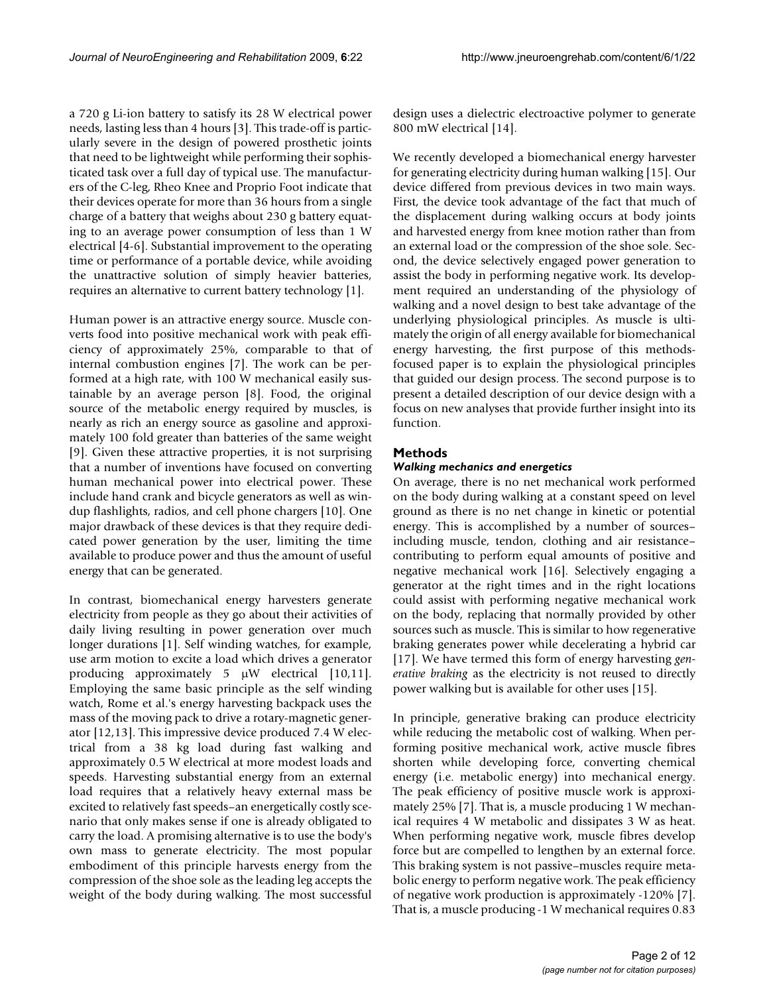a 720 g Li-ion battery to satisfy its 28 W electrical power needs, lasting less than 4 hours [3]. This trade-off is particularly severe in the design of powered prosthetic joints that need to be lightweight while performing their sophisticated task over a full day of typical use. The manufacturers of the C-leg, Rheo Knee and Proprio Foot indicate that their devices operate for more than 36 hours from a single charge of a battery that weighs about 230 g battery equating to an average power consumption of less than 1 W electrical [4-6]. Substantial improvement to the operating time or performance of a portable device, while avoiding the unattractive solution of simply heavier batteries, requires an alternative to current battery technology [1].

Human power is an attractive energy source. Muscle converts food into positive mechanical work with peak efficiency of approximately 25%, comparable to that of internal combustion engines [7]. The work can be performed at a high rate, with 100 W mechanical easily sustainable by an average person [8]. Food, the original source of the metabolic energy required by muscles, is nearly as rich an energy source as gasoline and approximately 100 fold greater than batteries of the same weight [9]. Given these attractive properties, it is not surprising that a number of inventions have focused on converting human mechanical power into electrical power. These include hand crank and bicycle generators as well as windup flashlights, radios, and cell phone chargers [10]. One major drawback of these devices is that they require dedicated power generation by the user, limiting the time available to produce power and thus the amount of useful energy that can be generated.

In contrast, biomechanical energy harvesters generate electricity from people as they go about their activities of daily living resulting in power generation over much longer durations [1]. Self winding watches, for example, use arm motion to excite a load which drives a generator producing approximately 5 μW electrical [10,11]. Employing the same basic principle as the self winding watch, Rome et al.'s energy harvesting backpack uses the mass of the moving pack to drive a rotary-magnetic generator [12,13]. This impressive device produced 7.4 W electrical from a 38 kg load during fast walking and approximately 0.5 W electrical at more modest loads and speeds. Harvesting substantial energy from an external load requires that a relatively heavy external mass be excited to relatively fast speeds–an energetically costly scenario that only makes sense if one is already obligated to carry the load. A promising alternative is to use the body's own mass to generate electricity. The most popular embodiment of this principle harvests energy from the compression of the shoe sole as the leading leg accepts the weight of the body during walking. The most successful

design uses a dielectric electroactive polymer to generate 800 mW electrical [14].

We recently developed a biomechanical energy harvester for generating electricity during human walking [15]. Our device differed from previous devices in two main ways. First, the device took advantage of the fact that much of the displacement during walking occurs at body joints and harvested energy from knee motion rather than from an external load or the compression of the shoe sole. Second, the device selectively engaged power generation to assist the body in performing negative work. Its development required an understanding of the physiology of walking and a novel design to best take advantage of the underlying physiological principles. As muscle is ultimately the origin of all energy available for biomechanical energy harvesting, the first purpose of this methodsfocused paper is to explain the physiological principles that guided our design process. The second purpose is to present a detailed description of our device design with a focus on new analyses that provide further insight into its function.

#### **Methods**

#### *Walking mechanics and energetics*

On average, there is no net mechanical work performed on the body during walking at a constant speed on level ground as there is no net change in kinetic or potential energy. This is accomplished by a number of sources– including muscle, tendon, clothing and air resistance– contributing to perform equal amounts of positive and negative mechanical work [16]. Selectively engaging a generator at the right times and in the right locations could assist with performing negative mechanical work on the body, replacing that normally provided by other sources such as muscle. This is similar to how regenerative braking generates power while decelerating a hybrid car [17]. We have termed this form of energy harvesting *generative braking* as the electricity is not reused to directly power walking but is available for other uses [15].

In principle, generative braking can produce electricity while reducing the metabolic cost of walking. When performing positive mechanical work, active muscle fibres shorten while developing force, converting chemical energy (i.e. metabolic energy) into mechanical energy. The peak efficiency of positive muscle work is approximately 25% [7]. That is, a muscle producing 1 W mechanical requires 4 W metabolic and dissipates 3 W as heat. When performing negative work, muscle fibres develop force but are compelled to lengthen by an external force. This braking system is not passive–muscles require metabolic energy to perform negative work. The peak efficiency of negative work production is approximately -120% [7]. That is, a muscle producing -1 W mechanical requires 0.83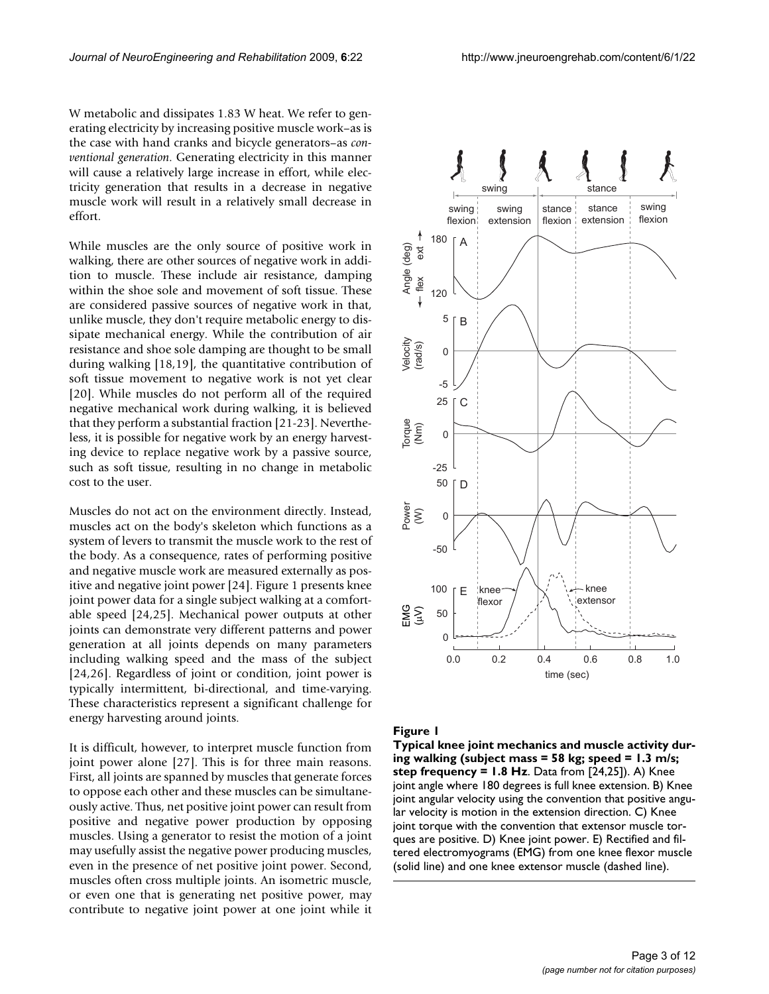W metabolic and dissipates 1.83 W heat. We refer to generating electricity by increasing positive muscle work–as is the case with hand cranks and bicycle generators–as *conventional generation*. Generating electricity in this manner will cause a relatively large increase in effort, while electricity generation that results in a decrease in negative muscle work will result in a relatively small decrease in effort.

While muscles are the only source of positive work in walking, there are other sources of negative work in addition to muscle. These include air resistance, damping within the shoe sole and movement of soft tissue. These are considered passive sources of negative work in that, unlike muscle, they don't require metabolic energy to dissipate mechanical energy. While the contribution of air resistance and shoe sole damping are thought to be small during walking [18,19], the quantitative contribution of soft tissue movement to negative work is not yet clear [20]. While muscles do not perform all of the required negative mechanical work during walking, it is believed that they perform a substantial fraction [21-23]. Nevertheless, it is possible for negative work by an energy harvesting device to replace negative work by a passive source, such as soft tissue, resulting in no change in metabolic cost to the user.

Muscles do not act on the environment directly. Instead, muscles act on the body's skeleton which functions as a system of levers to transmit the muscle work to the rest of the body. As a consequence, rates of performing positive and negative muscle work are measured externally as positive and negative joint power [24]. Figure 1 presents knee joint power data for a single subject walking at a comfortable speed [24,25]. Mechanical power outputs at other joints can demonstrate very different patterns and power generation at all joints depends on many parameters including walking speed and the mass of the subject [24,26]. Regardless of joint or condition, joint power is typically intermittent, bi-directional, and time-varying. These characteristics represent a significant challenge for energy harvesting around joints.

It is difficult, however, to interpret muscle function from joint power alone [27]. This is for three main reasons. First, all joints are spanned by muscles that generate forces to oppose each other and these muscles can be simultaneously active. Thus, net positive joint power can result from positive and negative power production by opposing muscles. Using a generator to resist the motion of a joint may usefully assist the negative power producing muscles, even in the presence of net positive joint power. Second, muscles often cross multiple joints. An isometric muscle, or even one that is generating net positive power, may contribute to negative joint power at one joint while it



#### Figure 1

**Typical knee joint mechanics and muscle activity during walking (subject mass = 58 kg; speed = 1.3 m/s; step frequency = 1.8 Hz**. Data from [24,25]). A) Knee joint angle where 180 degrees is full knee extension. B) Knee joint angular velocity using the convention that positive angular velocity is motion in the extension direction. C) Knee joint torque with the convention that extensor muscle torques are positive. D) Knee joint power. E) Rectified and filtered electromyograms (EMG) from one knee flexor muscle (solid line) and one knee extensor muscle (dashed line).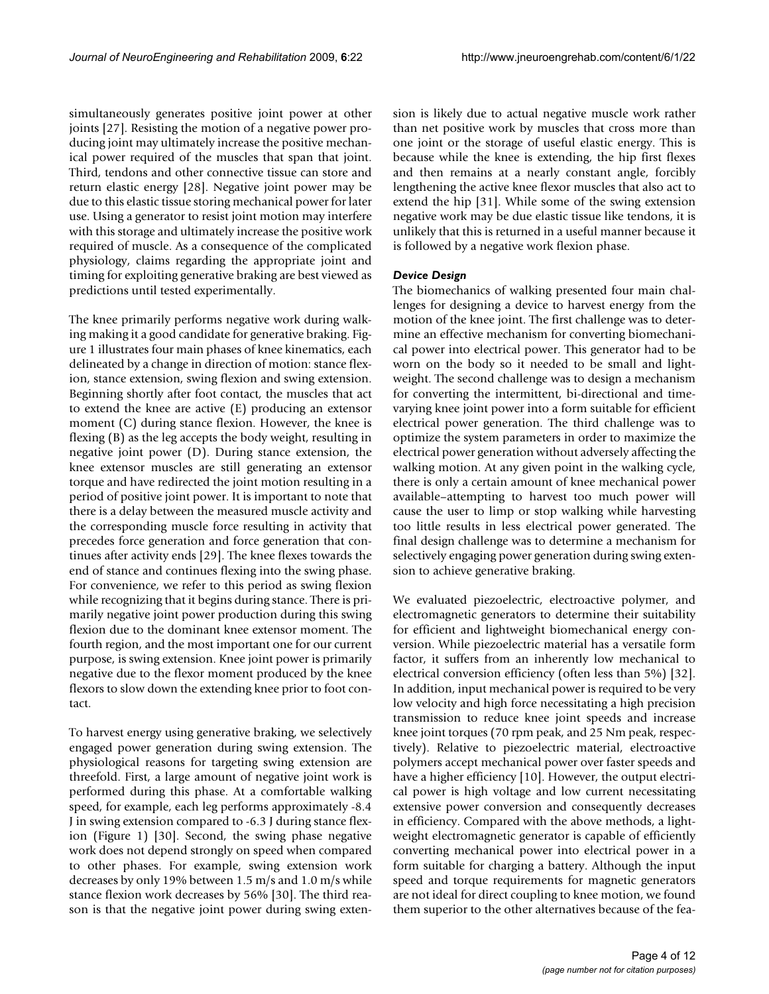simultaneously generates positive joint power at other joints [27]. Resisting the motion of a negative power producing joint may ultimately increase the positive mechanical power required of the muscles that span that joint. Third, tendons and other connective tissue can store and return elastic energy [28]. Negative joint power may be due to this elastic tissue storing mechanical power for later use. Using a generator to resist joint motion may interfere with this storage and ultimately increase the positive work required of muscle. As a consequence of the complicated physiology, claims regarding the appropriate joint and timing for exploiting generative braking are best viewed as predictions until tested experimentally.

The knee primarily performs negative work during walking making it a good candidate for generative braking. Figure 1 illustrates four main phases of knee kinematics, each delineated by a change in direction of motion: stance flexion, stance extension, swing flexion and swing extension. Beginning shortly after foot contact, the muscles that act to extend the knee are active (E) producing an extensor moment (C) during stance flexion. However, the knee is flexing (B) as the leg accepts the body weight, resulting in negative joint power (D). During stance extension, the knee extensor muscles are still generating an extensor torque and have redirected the joint motion resulting in a period of positive joint power. It is important to note that there is a delay between the measured muscle activity and the corresponding muscle force resulting in activity that precedes force generation and force generation that continues after activity ends [29]. The knee flexes towards the end of stance and continues flexing into the swing phase. For convenience, we refer to this period as swing flexion while recognizing that it begins during stance. There is primarily negative joint power production during this swing flexion due to the dominant knee extensor moment. The fourth region, and the most important one for our current purpose, is swing extension. Knee joint power is primarily negative due to the flexor moment produced by the knee flexors to slow down the extending knee prior to foot contact.

To harvest energy using generative braking, we selectively engaged power generation during swing extension. The physiological reasons for targeting swing extension are threefold. First, a large amount of negative joint work is performed during this phase. At a comfortable walking speed, for example, each leg performs approximately -8.4 J in swing extension compared to -6.3 J during stance flexion (Figure 1) [30]. Second, the swing phase negative work does not depend strongly on speed when compared to other phases. For example, swing extension work decreases by only 19% between 1.5 m/s and 1.0 m/s while stance flexion work decreases by 56% [30]. The third reason is that the negative joint power during swing extension is likely due to actual negative muscle work rather than net positive work by muscles that cross more than one joint or the storage of useful elastic energy. This is because while the knee is extending, the hip first flexes and then remains at a nearly constant angle, forcibly lengthening the active knee flexor muscles that also act to extend the hip [31]. While some of the swing extension negative work may be due elastic tissue like tendons, it is unlikely that this is returned in a useful manner because it is followed by a negative work flexion phase.

#### *Device Design*

The biomechanics of walking presented four main challenges for designing a device to harvest energy from the motion of the knee joint. The first challenge was to determine an effective mechanism for converting biomechanical power into electrical power. This generator had to be worn on the body so it needed to be small and lightweight. The second challenge was to design a mechanism for converting the intermittent, bi-directional and timevarying knee joint power into a form suitable for efficient electrical power generation. The third challenge was to optimize the system parameters in order to maximize the electrical power generation without adversely affecting the walking motion. At any given point in the walking cycle, there is only a certain amount of knee mechanical power available–attempting to harvest too much power will cause the user to limp or stop walking while harvesting too little results in less electrical power generated. The final design challenge was to determine a mechanism for selectively engaging power generation during swing extension to achieve generative braking.

We evaluated piezoelectric, electroactive polymer, and electromagnetic generators to determine their suitability for efficient and lightweight biomechanical energy conversion. While piezoelectric material has a versatile form factor, it suffers from an inherently low mechanical to electrical conversion efficiency (often less than 5%) [32]. In addition, input mechanical power is required to be very low velocity and high force necessitating a high precision transmission to reduce knee joint speeds and increase knee joint torques (70 rpm peak, and 25 Nm peak, respectively). Relative to piezoelectric material, electroactive polymers accept mechanical power over faster speeds and have a higher efficiency [10]. However, the output electrical power is high voltage and low current necessitating extensive power conversion and consequently decreases in efficiency. Compared with the above methods, a lightweight electromagnetic generator is capable of efficiently converting mechanical power into electrical power in a form suitable for charging a battery. Although the input speed and torque requirements for magnetic generators are not ideal for direct coupling to knee motion, we found them superior to the other alternatives because of the fea-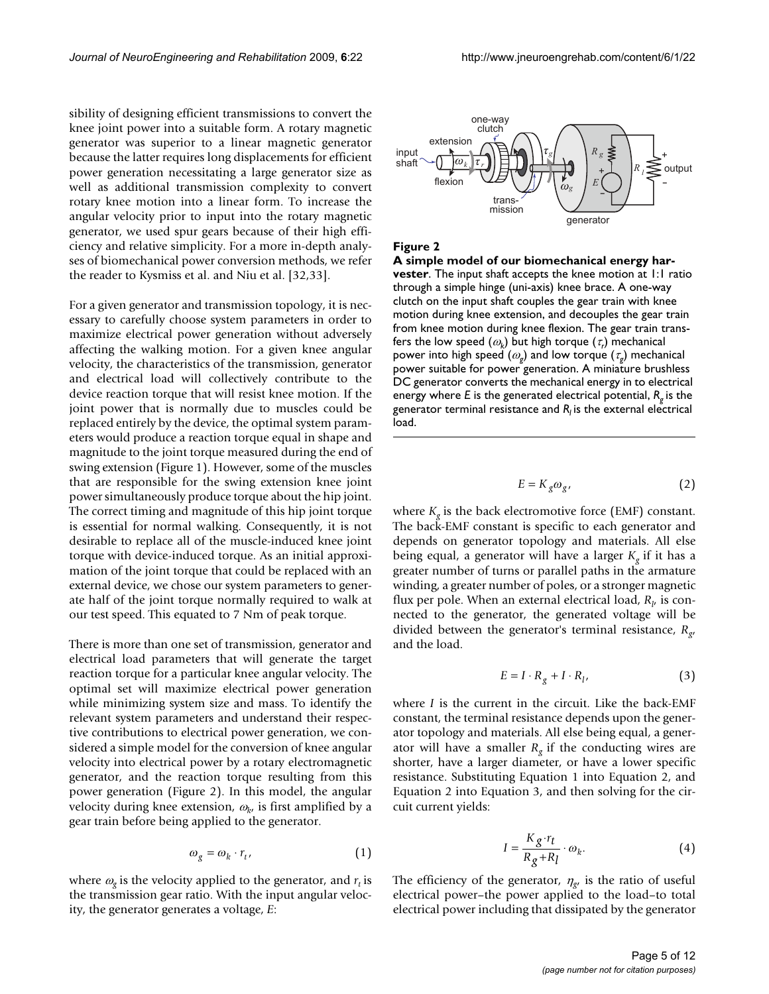sibility of designing efficient transmissions to convert the knee joint power into a suitable form. A rotary magnetic generator was superior to a linear magnetic generator because the latter requires long displacements for efficient power generation necessitating a large generator size as well as additional transmission complexity to convert rotary knee motion into a linear form. To increase the angular velocity prior to input into the rotary magnetic generator, we used spur gears because of their high efficiency and relative simplicity. For a more in-depth analyses of biomechanical power conversion methods, we refer the reader to Kysmiss et al. and Niu et al. [32,33].

For a given generator and transmission topology, it is necessary to carefully choose system parameters in order to maximize electrical power generation without adversely affecting the walking motion. For a given knee angular velocity, the characteristics of the transmission, generator and electrical load will collectively contribute to the device reaction torque that will resist knee motion. If the joint power that is normally due to muscles could be replaced entirely by the device, the optimal system parameters would produce a reaction torque equal in shape and magnitude to the joint torque measured during the end of swing extension (Figure 1). However, some of the muscles that are responsible for the swing extension knee joint power simultaneously produce torque about the hip joint. The correct timing and magnitude of this hip joint torque is essential for normal walking. Consequently, it is not desirable to replace all of the muscle-induced knee joint torque with device-induced torque. As an initial approximation of the joint torque that could be replaced with an external device, we chose our system parameters to generate half of the joint torque normally required to walk at our test speed. This equated to 7 Nm of peak torque.

There is more than one set of transmission, generator and electrical load parameters that will generate the target reaction torque for a particular knee angular velocity. The optimal set will maximize electrical power generation while minimizing system size and mass. To identify the relevant system parameters and understand their respective contributions to electrical power generation, we considered a simple model for the conversion of knee angular velocity into electrical power by a rotary electromagnetic generator, and the reaction torque resulting from this power generation (Figure 2). In this model, the angular velocity during knee extension,  $\omega_{k}$ , is first amplified by a gear train before being applied to the generator.

$$
\omega_g = \omega_k \cdot r_t,\tag{1}
$$

where  $\omega_g$  is the velocity applied to the generator, and  $r_t$  is the transmission gear ratio. With the input angular velocity, the generator generates a voltage, *E*:



**Figure 2** 

**A simple model of our biomechanical energy harvester**. The input shaft accepts the knee motion at 1:1 ratio through a simple hinge (uni-axis) knee brace. A one-way clutch on the input shaft couples the gear train with knee motion during knee extension, and decouples the gear train from knee motion during knee flexion. The gear train transfers the low speed  $(\varpi_{\!k})$  but high torque  $(\tau_{\!r})$  mechanical power into high speed (<sup>ω</sup>*g*) and low torque (<sup>τ</sup>*g*) mechanical power suitable for power generation. A miniature brushless DC generator converts the mechanical energy in to electrical energy where *E* is the generated electrical potential, *Rg* is the generator terminal resistance and *Rl* is the external electrical load.

$$
E = K_g \omega_g,\tag{2}
$$

where  $K_a$  is the back electromotive force (EMF) constant. The back-EMF constant is specific to each generator and depends on generator topology and materials. All else being equal, a generator will have a larger  $K_{\varrho}$  if it has a greater number of turns or parallel paths in the armature winding, a greater number of poles, or a stronger magnetic flux per pole. When an external electrical load,  $R_{\mu}$  is connected to the generator, the generated voltage will be divided between the generator's terminal resistance, *Rg*, and the load.

$$
E = I \cdot R_g + I \cdot R_l,\tag{3}
$$

where *I* is the current in the circuit. Like the back-EMF constant, the terminal resistance depends upon the generator topology and materials. All else being equal, a generator will have a smaller  $R_g$  if the conducting wires are shorter, have a larger diameter, or have a lower specific resistance. Substituting Equation 1 into Equation 2, and Equation 2 into Equation 3, and then solving for the circuit current yields:

$$
I = \frac{K_{g} \cdot r_t}{R_g + R_l} \cdot \omega_k. \tag{4}
$$

The efficiency of the generator,  $\eta_{g}$  is the ratio of useful electrical power–the power applied to the load–to total electrical power including that dissipated by the generator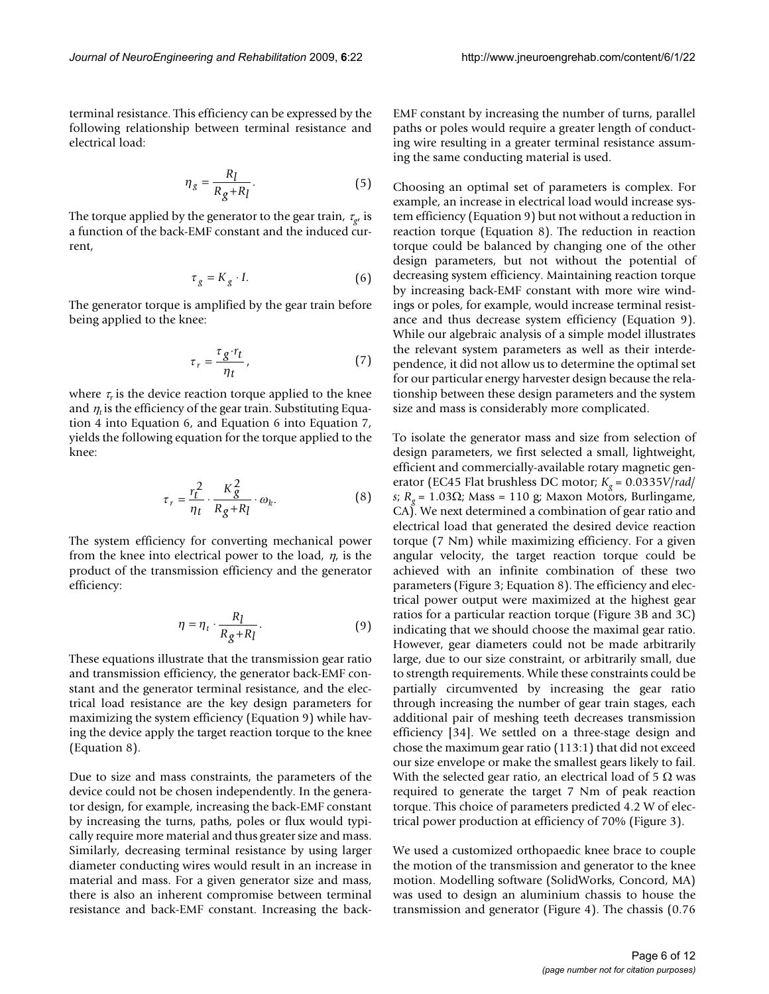terminal resistance. This efficiency can be expressed by the following relationship between terminal resistance and electrical load:

$$
\eta_g = \frac{R_l}{R_g + R_l}.\tag{5}
$$

The torque applied by the generator to the gear train,  $\tau_{e}$ , is a function of the back-EMF constant and the induced current,

$$
\tau_g = K_g \cdot I. \tag{6}
$$

The generator torque is amplified by the gear train before being applied to the knee:

$$
\tau_r = \frac{\tau_g \cdot r_t}{\eta_t},\tag{7}
$$

where  $\tau_r$  is the device reaction torque applied to the knee and  $\eta_t$  is the efficiency of the gear train. Substituting Equation 4 into Equation 6, and Equation 6 into Equation 7, yields the following equation for the torque applied to the knee:

$$
\tau_r = \frac{r_t^2}{\eta_t} \cdot \frac{K_g^2}{R_g + R_l} \cdot \omega_k. \tag{8}
$$

The system efficiency for converting mechanical power from the knee into electrical power to the load,  $\eta$ , is the product of the transmission efficiency and the generator efficiency:

$$
\eta = \eta_t \cdot \frac{R_l}{R_g + R_l}.\tag{9}
$$

These equations illustrate that the transmission gear ratio and transmission efficiency, the generator back-EMF constant and the generator terminal resistance, and the electrical load resistance are the key design parameters for maximizing the system efficiency (Equation 9) while having the device apply the target reaction torque to the knee (Equation 8).

Due to size and mass constraints, the parameters of the device could not be chosen independently. In the generator design, for example, increasing the back-EMF constant by increasing the turns, paths, poles or flux would typically require more material and thus greater size and mass. Similarly, decreasing terminal resistance by using larger diameter conducting wires would result in an increase in material and mass. For a given generator size and mass, there is also an inherent compromise between terminal resistance and back-EMF constant. Increasing the backEMF constant by increasing the number of turns, parallel paths or poles would require a greater length of conducting wire resulting in a greater terminal resistance assuming the same conducting material is used.

Choosing an optimal set of parameters is complex. For example, an increase in electrical load would increase system efficiency (Equation 9) but not without a reduction in reaction torque (Equation 8). The reduction in reaction torque could be balanced by changing one of the other design parameters, but not without the potential of decreasing system efficiency. Maintaining reaction torque by increasing back-EMF constant with more wire windings or poles, for example, would increase terminal resistance and thus decrease system efficiency (Equation 9). While our algebraic analysis of a simple model illustrates the relevant system parameters as well as their interdependence, it did not allow us to determine the optimal set for our particular energy harvester design because the relationship between these design parameters and the system size and mass is considerably more complicated.

To isolate the generator mass and size from selection of design parameters, we first selected a small, lightweight, efficient and commercially-available rotary magnetic generator (EC45 Flat brushless DC motor;  $K_g = 0.0335V/rad/$ *s*;  $R_g = 1.03 \Omega$ ; Mass = 110 g; Maxon Motors, Burlingame, CA). We next determined a combination of gear ratio and electrical load that generated the desired device reaction torque (7 Nm) while maximizing efficiency. For a given angular velocity, the target reaction torque could be achieved with an infinite combination of these two parameters (Figure 3; Equation 8). The efficiency and electrical power output were maximized at the highest gear ratios for a particular reaction torque (Figure 3B and 3C) indicating that we should choose the maximal gear ratio. However, gear diameters could not be made arbitrarily large, due to our size constraint, or arbitrarily small, due to strength requirements. While these constraints could be partially circumvented by increasing the gear ratio through increasing the number of gear train stages, each additional pair of meshing teeth decreases transmission efficiency [34]. We settled on a three-stage design and chose the maximum gear ratio (113:1) that did not exceed our size envelope or make the smallest gears likely to fail. With the selected gear ratio, an electrical load of 5  $\Omega$  was required to generate the target 7 Nm of peak reaction torque. This choice of parameters predicted 4.2 W of electrical power production at efficiency of 70% (Figure 3).

We used a customized orthopaedic knee brace to couple the motion of the transmission and generator to the knee motion. Modelling software (SolidWorks, Concord, MA) was used to design an aluminium chassis to house the transmission and generator (Figure 4). The chassis (0.76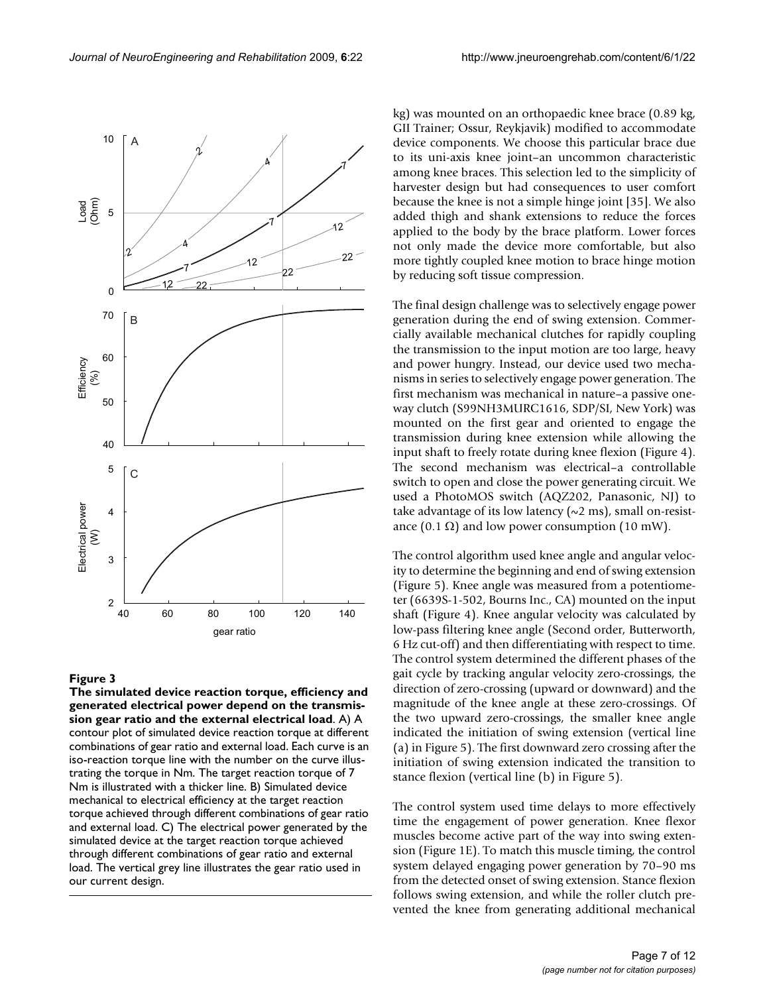

**The simulated device reaction torque, efficiency and generated electrical power depend on the transmission gear ratio and the external electrical load**. A) A contour plot of simulated device reaction torque at different combinations of gear ratio and external load. Each curve is an iso-reaction torque line with the number on the curve illustrating the torque in Nm. The target reaction torque of 7 Nm is illustrated with a thicker line. B) Simulated device mechanical to electrical efficiency at the target reaction torque achieved through different combinations of gear ratio and external load. C) The electrical power generated by the simulated device at the target reaction torque achieved through different combinations of gear ratio and external load. The vertical grey line illustrates the gear ratio used in our current design.

kg) was mounted on an orthopaedic knee brace (0.89 kg, GII Trainer; Ossur, Reykjavik) modified to accommodate device components. We choose this particular brace due to its uni-axis knee joint–an uncommon characteristic among knee braces. This selection led to the simplicity of harvester design but had consequences to user comfort because the knee is not a simple hinge joint [35]. We also added thigh and shank extensions to reduce the forces applied to the body by the brace platform. Lower forces not only made the device more comfortable, but also more tightly coupled knee motion to brace hinge motion by reducing soft tissue compression.

The final design challenge was to selectively engage power generation during the end of swing extension. Commercially available mechanical clutches for rapidly coupling the transmission to the input motion are too large, heavy and power hungry. Instead, our device used two mechanisms in series to selectively engage power generation. The first mechanism was mechanical in nature–a passive oneway clutch (S99NH3MURC1616, SDP/SI, New York) was mounted on the first gear and oriented to engage the transmission during knee extension while allowing the input shaft to freely rotate during knee flexion (Figure 4). The second mechanism was electrical–a controllable switch to open and close the power generating circuit. We used a PhotoMOS switch (AQZ202, Panasonic, NJ) to take advantage of its low latency  $(\sim 2 \text{ ms})$ , small on-resistance  $(0.1 \Omega)$  and low power consumption  $(10 \text{ mW})$ .

The control algorithm used knee angle and angular velocity to determine the beginning and end of swing extension (Figure 5). Knee angle was measured from a potentiometer (6639S-1-502, Bourns Inc., CA) mounted on the input shaft (Figure 4). Knee angular velocity was calculated by low-pass filtering knee angle (Second order, Butterworth, 6 Hz cut-off) and then differentiating with respect to time. The control system determined the different phases of the gait cycle by tracking angular velocity zero-crossings, the direction of zero-crossing (upward or downward) and the magnitude of the knee angle at these zero-crossings. Of the two upward zero-crossings, the smaller knee angle indicated the initiation of swing extension (vertical line (a) in Figure 5). The first downward zero crossing after the initiation of swing extension indicated the transition to stance flexion (vertical line (b) in Figure 5).

The control system used time delays to more effectively time the engagement of power generation. Knee flexor muscles become active part of the way into swing extension (Figure 1E). To match this muscle timing, the control system delayed engaging power generation by 70–90 ms from the detected onset of swing extension. Stance flexion follows swing extension, and while the roller clutch prevented the knee from generating additional mechanical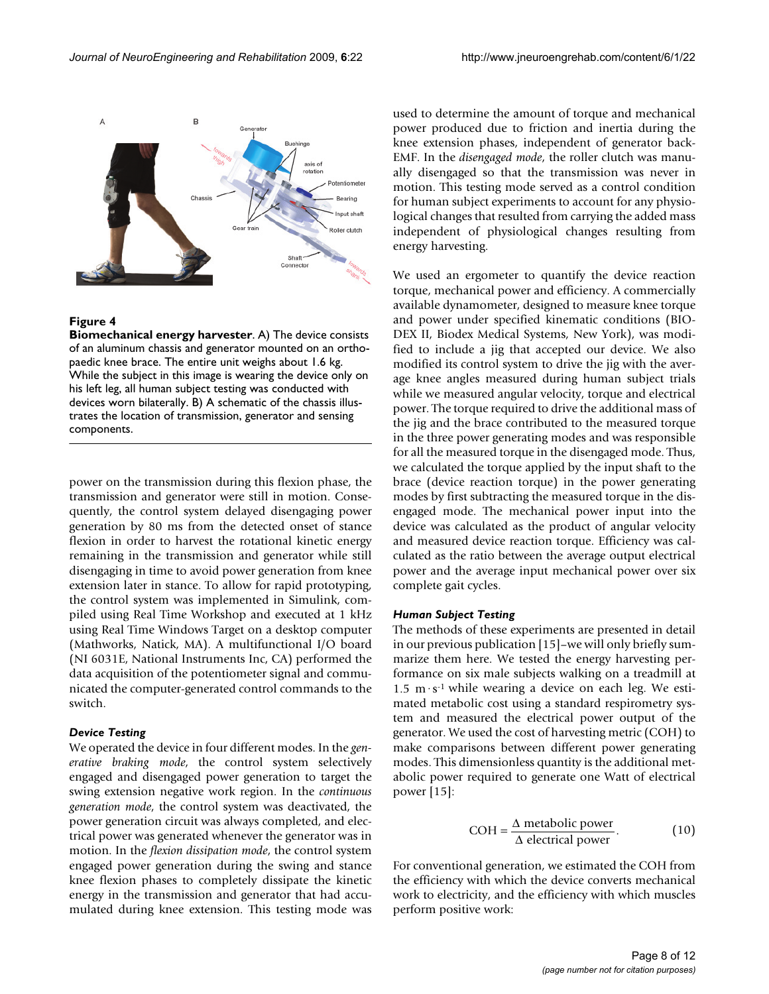

**Biomechanical energy harvester**. A) The device consists of an aluminum chassis and generator mounted on an orthopaedic knee brace. The entire unit weighs about 1.6 kg. While the subject in this image is wearing the device only on his left leg, all human subject testing was conducted with devices worn bilaterally. B) A schematic of the chassis illustrates the location of transmission, generator and sensing components.

power on the transmission during this flexion phase, the transmission and generator were still in motion. Consequently, the control system delayed disengaging power generation by 80 ms from the detected onset of stance flexion in order to harvest the rotational kinetic energy remaining in the transmission and generator while still disengaging in time to avoid power generation from knee extension later in stance. To allow for rapid prototyping, the control system was implemented in Simulink, compiled using Real Time Workshop and executed at 1 kHz using Real Time Windows Target on a desktop computer (Mathworks, Natick, MA). A multifunctional I/O board (NI 6031E, National Instruments Inc, CA) performed the data acquisition of the potentiometer signal and communicated the computer-generated control commands to the switch.

#### *Device Testing*

We operated the device in four different modes. In the *generative braking mode*, the control system selectively engaged and disengaged power generation to target the swing extension negative work region. In the *continuous generation mode*, the control system was deactivated, the power generation circuit was always completed, and electrical power was generated whenever the generator was in motion. In the *flexion dissipation mode*, the control system engaged power generation during the swing and stance knee flexion phases to completely dissipate the kinetic energy in the transmission and generator that had accumulated during knee extension. This testing mode was used to determine the amount of torque and mechanical power produced due to friction and inertia during the knee extension phases, independent of generator back-EMF. In the *disengaged mode*, the roller clutch was manually disengaged so that the transmission was never in motion. This testing mode served as a control condition for human subject experiments to account for any physiological changes that resulted from carrying the added mass independent of physiological changes resulting from energy harvesting.

We used an ergometer to quantify the device reaction torque, mechanical power and efficiency. A commercially available dynamometer, designed to measure knee torque and power under specified kinematic conditions (BIO-DEX II, Biodex Medical Systems, New York), was modified to include a jig that accepted our device. We also modified its control system to drive the jig with the average knee angles measured during human subject trials while we measured angular velocity, torque and electrical power. The torque required to drive the additional mass of the jig and the brace contributed to the measured torque in the three power generating modes and was responsible for all the measured torque in the disengaged mode. Thus, we calculated the torque applied by the input shaft to the brace (device reaction torque) in the power generating modes by first subtracting the measured torque in the disengaged mode. The mechanical power input into the device was calculated as the product of angular velocity and measured device reaction torque. Efficiency was calculated as the ratio between the average output electrical power and the average input mechanical power over six complete gait cycles.

#### *Human Subject Testing*

The methods of these experiments are presented in detail in our previous publication [15]–we will only briefly summarize them here. We tested the energy harvesting performance on six male subjects walking on a treadmill at  $1.5 \text{ m} \cdot \text{s}$ <sup>1</sup> while wearing a device on each leg. We estimated metabolic cost using a standard respirometry system and measured the electrical power output of the generator. We used the cost of harvesting metric (COH) to make comparisons between different power generating modes. This dimensionless quantity is the additional metabolic power required to generate one Watt of electrical power [15]:

$$
COH = \frac{\Delta \text{ metabolic power}}{\Delta \text{ electrical power}}.
$$
 (10)

For conventional generation, we estimated the COH from the efficiency with which the device converts mechanical work to electricity, and the efficiency with which muscles perform positive work: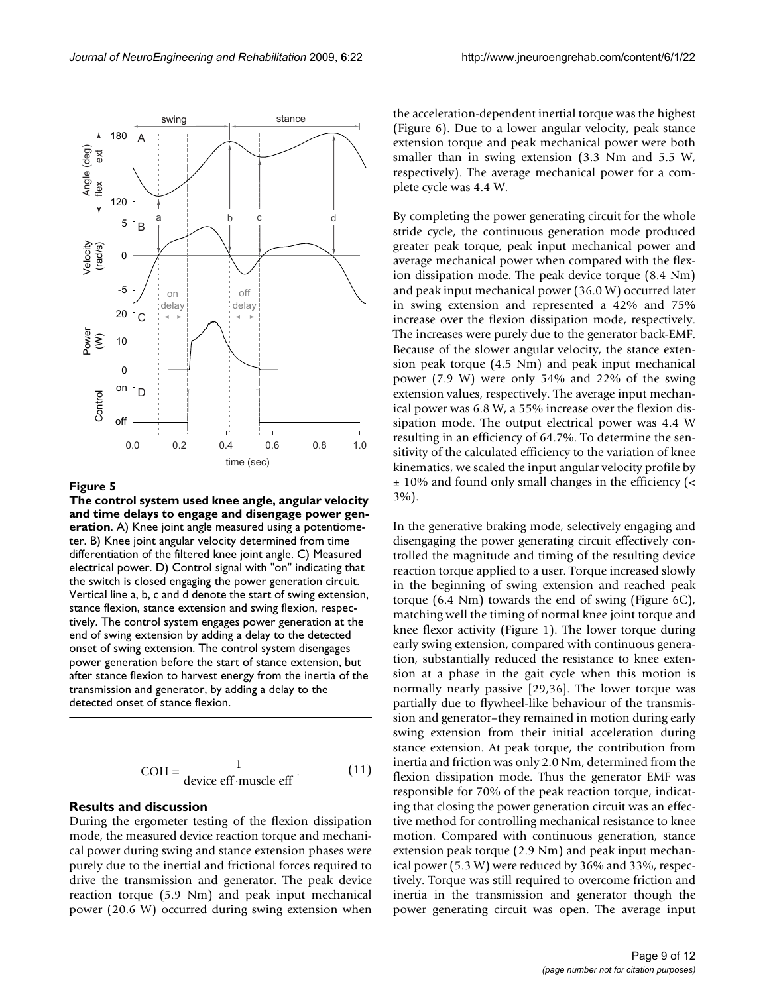

**The control system used knee angle, angular velocity and time delays to engage and disengage power generation**. A) Knee joint angle measured using a potentiometer. B) Knee joint angular velocity determined from time differentiation of the filtered knee joint angle. C) Measured electrical power. D) Control signal with "on" indicating that the switch is closed engaging the power generation circuit. Vertical line a, b, c and d denote the start of swing extension, stance flexion, stance extension and swing flexion, respectively. The control system engages power generation at the end of swing extension by adding a delay to the detected onset of swing extension. The control system disengages power generation before the start of stance extension, but after stance flexion to harvest energy from the inertia of the transmission and generator, by adding a delay to the detected onset of stance flexion.

$$
COH = \frac{1}{\text{device eff} \cdot \text{muscle eff}}.\tag{11}
$$

#### **Results and discussion**

During the ergometer testing of the flexion dissipation mode, the measured device reaction torque and mechanical power during swing and stance extension phases were purely due to the inertial and frictional forces required to drive the transmission and generator. The peak device reaction torque (5.9 Nm) and peak input mechanical power (20.6 W) occurred during swing extension when

the acceleration-dependent inertial torque was the highest (Figure 6). Due to a lower angular velocity, peak stance extension torque and peak mechanical power were both smaller than in swing extension (3.3 Nm and 5.5 W, respectively). The average mechanical power for a complete cycle was 4.4 W.

By completing the power generating circuit for the whole stride cycle, the continuous generation mode produced greater peak torque, peak input mechanical power and average mechanical power when compared with the flexion dissipation mode. The peak device torque (8.4 Nm) and peak input mechanical power (36.0 W) occurred later in swing extension and represented a 42% and 75% increase over the flexion dissipation mode, respectively. The increases were purely due to the generator back-EMF. Because of the slower angular velocity, the stance extension peak torque (4.5 Nm) and peak input mechanical power (7.9 W) were only 54% and 22% of the swing extension values, respectively. The average input mechanical power was 6.8 W, a 55% increase over the flexion dissipation mode. The output electrical power was 4.4 W resulting in an efficiency of 64.7%. To determine the sensitivity of the calculated efficiency to the variation of knee kinematics, we scaled the input angular velocity profile by ± 10% and found only small changes in the efficiency (< 3%).

In the generative braking mode, selectively engaging and disengaging the power generating circuit effectively controlled the magnitude and timing of the resulting device reaction torque applied to a user. Torque increased slowly in the beginning of swing extension and reached peak torque (6.4 Nm) towards the end of swing (Figure 6C), matching well the timing of normal knee joint torque and knee flexor activity (Figure 1). The lower torque during early swing extension, compared with continuous generation, substantially reduced the resistance to knee extension at a phase in the gait cycle when this motion is normally nearly passive [29,36]. The lower torque was partially due to flywheel-like behaviour of the transmission and generator–they remained in motion during early swing extension from their initial acceleration during stance extension. At peak torque, the contribution from inertia and friction was only 2.0 Nm, determined from the flexion dissipation mode. Thus the generator EMF was responsible for 70% of the peak reaction torque, indicating that closing the power generation circuit was an effective method for controlling mechanical resistance to knee motion. Compared with continuous generation, stance extension peak torque (2.9 Nm) and peak input mechanical power (5.3 W) were reduced by 36% and 33%, respectively. Torque was still required to overcome friction and inertia in the transmission and generator though the power generating circuit was open. The average input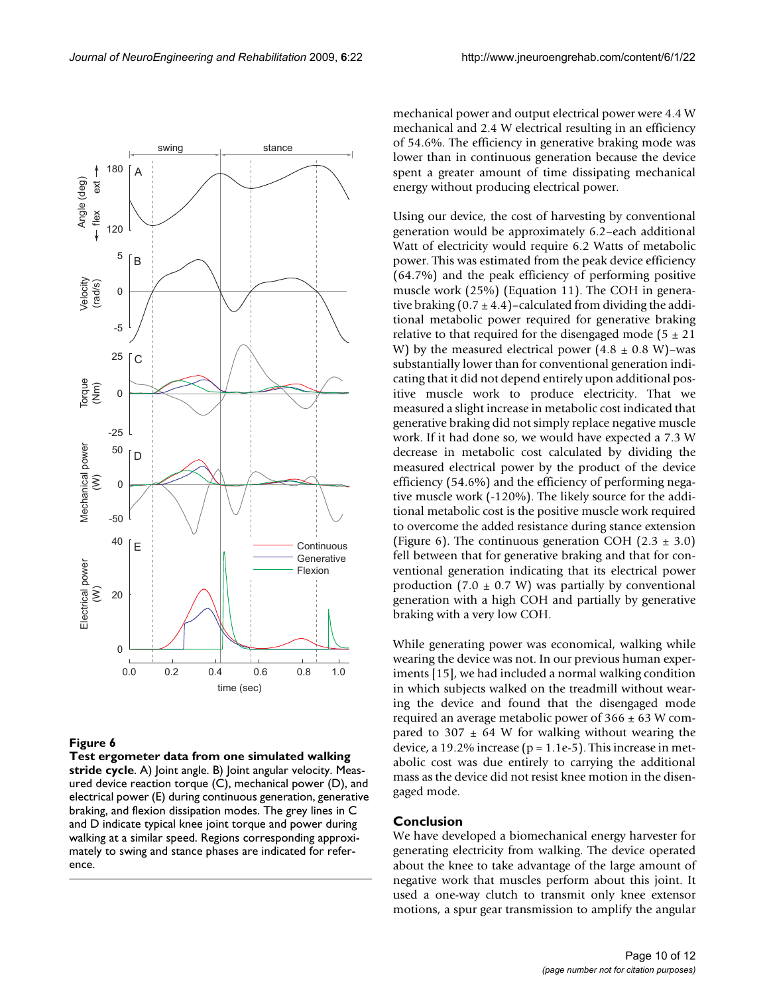

**Test ergometer data from one simulated walking** 

**stride cycle**. A) Joint angle. B) Joint angular velocity. Measured device reaction torque (C), mechanical power (D), and electrical power (E) during continuous generation, generative braking, and flexion dissipation modes. The grey lines in C and D indicate typical knee joint torque and power during walking at a similar speed. Regions corresponding approximately to swing and stance phases are indicated for reference.

mechanical power and output electrical power were 4.4 W mechanical and 2.4 W electrical resulting in an efficiency of 54.6%. The efficiency in generative braking mode was lower than in continuous generation because the device spent a greater amount of time dissipating mechanical energy without producing electrical power.

Using our device, the cost of harvesting by conventional generation would be approximately 6.2–each additional Watt of electricity would require 6.2 Watts of metabolic power. This was estimated from the peak device efficiency (64.7%) and the peak efficiency of performing positive muscle work (25%) (Equation 11). The COH in generative braking  $(0.7 \pm 4.4)$ –calculated from dividing the additional metabolic power required for generative braking relative to that required for the disengaged mode ( $5 \pm 21$ ) W) by the measured electrical power  $(4.8 \pm 0.8 \text{ W})$ –was substantially lower than for conventional generation indicating that it did not depend entirely upon additional positive muscle work to produce electricity. That we measured a slight increase in metabolic cost indicated that generative braking did not simply replace negative muscle work. If it had done so, we would have expected a 7.3 W decrease in metabolic cost calculated by dividing the measured electrical power by the product of the device efficiency (54.6%) and the efficiency of performing negative muscle work (-120%). The likely source for the additional metabolic cost is the positive muscle work required to overcome the added resistance during stance extension (Figure 6). The continuous generation COH (2.3  $\pm$  3.0) fell between that for generative braking and that for conventional generation indicating that its electrical power production (7.0  $\pm$  0.7 W) was partially by conventional generation with a high COH and partially by generative braking with a very low COH.

While generating power was economical, walking while wearing the device was not. In our previous human experiments [15], we had included a normal walking condition in which subjects walked on the treadmill without wearing the device and found that the disengaged mode required an average metabolic power of  $366 \pm 63$  W compared to 307  $\pm$  64 W for walking without wearing the device, a 19.2% increase ( $p = 1.1e-5$ ). This increase in metabolic cost was due entirely to carrying the additional mass as the device did not resist knee motion in the disengaged mode.

#### **Conclusion**

We have developed a biomechanical energy harvester for generating electricity from walking. The device operated about the knee to take advantage of the large amount of negative work that muscles perform about this joint. It used a one-way clutch to transmit only knee extensor motions, a spur gear transmission to amplify the angular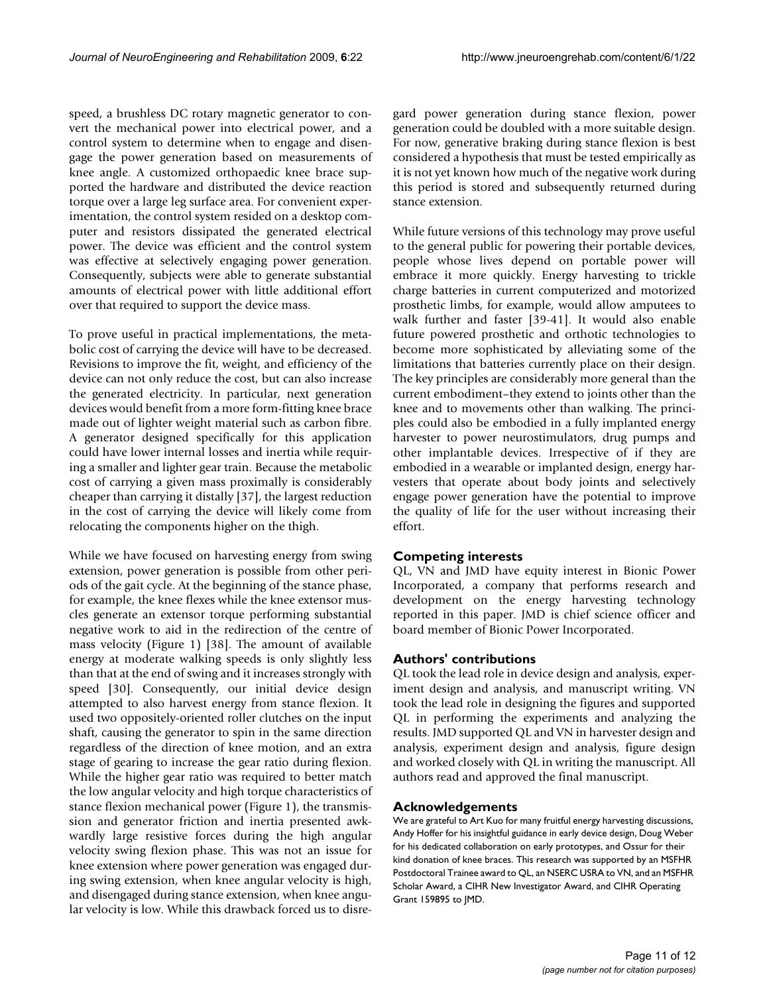speed, a brushless DC rotary magnetic generator to convert the mechanical power into electrical power, and a control system to determine when to engage and disengage the power generation based on measurements of knee angle. A customized orthopaedic knee brace supported the hardware and distributed the device reaction torque over a large leg surface area. For convenient experimentation, the control system resided on a desktop computer and resistors dissipated the generated electrical power. The device was efficient and the control system was effective at selectively engaging power generation. Consequently, subjects were able to generate substantial amounts of electrical power with little additional effort over that required to support the device mass.

To prove useful in practical implementations, the metabolic cost of carrying the device will have to be decreased. Revisions to improve the fit, weight, and efficiency of the device can not only reduce the cost, but can also increase the generated electricity. In particular, next generation devices would benefit from a more form-fitting knee brace made out of lighter weight material such as carbon fibre. A generator designed specifically for this application could have lower internal losses and inertia while requiring a smaller and lighter gear train. Because the metabolic cost of carrying a given mass proximally is considerably cheaper than carrying it distally [37], the largest reduction in the cost of carrying the device will likely come from relocating the components higher on the thigh.

While we have focused on harvesting energy from swing extension, power generation is possible from other periods of the gait cycle. At the beginning of the stance phase, for example, the knee flexes while the knee extensor muscles generate an extensor torque performing substantial negative work to aid in the redirection of the centre of mass velocity (Figure 1) [38]. The amount of available energy at moderate walking speeds is only slightly less than that at the end of swing and it increases strongly with speed [30]. Consequently, our initial device design attempted to also harvest energy from stance flexion. It used two oppositely-oriented roller clutches on the input shaft, causing the generator to spin in the same direction regardless of the direction of knee motion, and an extra stage of gearing to increase the gear ratio during flexion. While the higher gear ratio was required to better match the low angular velocity and high torque characteristics of stance flexion mechanical power (Figure 1), the transmission and generator friction and inertia presented awkwardly large resistive forces during the high angular velocity swing flexion phase. This was not an issue for knee extension where power generation was engaged during swing extension, when knee angular velocity is high, and disengaged during stance extension, when knee angular velocity is low. While this drawback forced us to disregard power generation during stance flexion, power generation could be doubled with a more suitable design. For now, generative braking during stance flexion is best considered a hypothesis that must be tested empirically as it is not yet known how much of the negative work during this period is stored and subsequently returned during stance extension.

While future versions of this technology may prove useful to the general public for powering their portable devices, people whose lives depend on portable power will embrace it more quickly. Energy harvesting to trickle charge batteries in current computerized and motorized prosthetic limbs, for example, would allow amputees to walk further and faster [39-41]. It would also enable future powered prosthetic and orthotic technologies to become more sophisticated by alleviating some of the limitations that batteries currently place on their design. The key principles are considerably more general than the current embodiment–they extend to joints other than the knee and to movements other than walking. The principles could also be embodied in a fully implanted energy harvester to power neurostimulators, drug pumps and other implantable devices. Irrespective of if they are embodied in a wearable or implanted design, energy harvesters that operate about body joints and selectively engage power generation have the potential to improve the quality of life for the user without increasing their effort.

### **Competing interests**

QL, VN and JMD have equity interest in Bionic Power Incorporated, a company that performs research and development on the energy harvesting technology reported in this paper. JMD is chief science officer and board member of Bionic Power Incorporated.

#### **Authors' contributions**

QL took the lead role in device design and analysis, experiment design and analysis, and manuscript writing. VN took the lead role in designing the figures and supported QL in performing the experiments and analyzing the results. JMD supported QL and VN in harvester design and analysis, experiment design and analysis, figure design and worked closely with QL in writing the manuscript. All authors read and approved the final manuscript.

#### **Acknowledgements**

We are grateful to Art Kuo for many fruitful energy harvesting discussions, Andy Hoffer for his insightful guidance in early device design, Doug Weber for his dedicated collaboration on early prototypes, and Ossur for their kind donation of knee braces. This research was supported by an MSFHR Postdoctoral Trainee award to QL, an NSERC USRA to VN, and an MSFHR Scholar Award, a CIHR New Investigator Award, and CIHR Operating Grant 159895 to JMD.